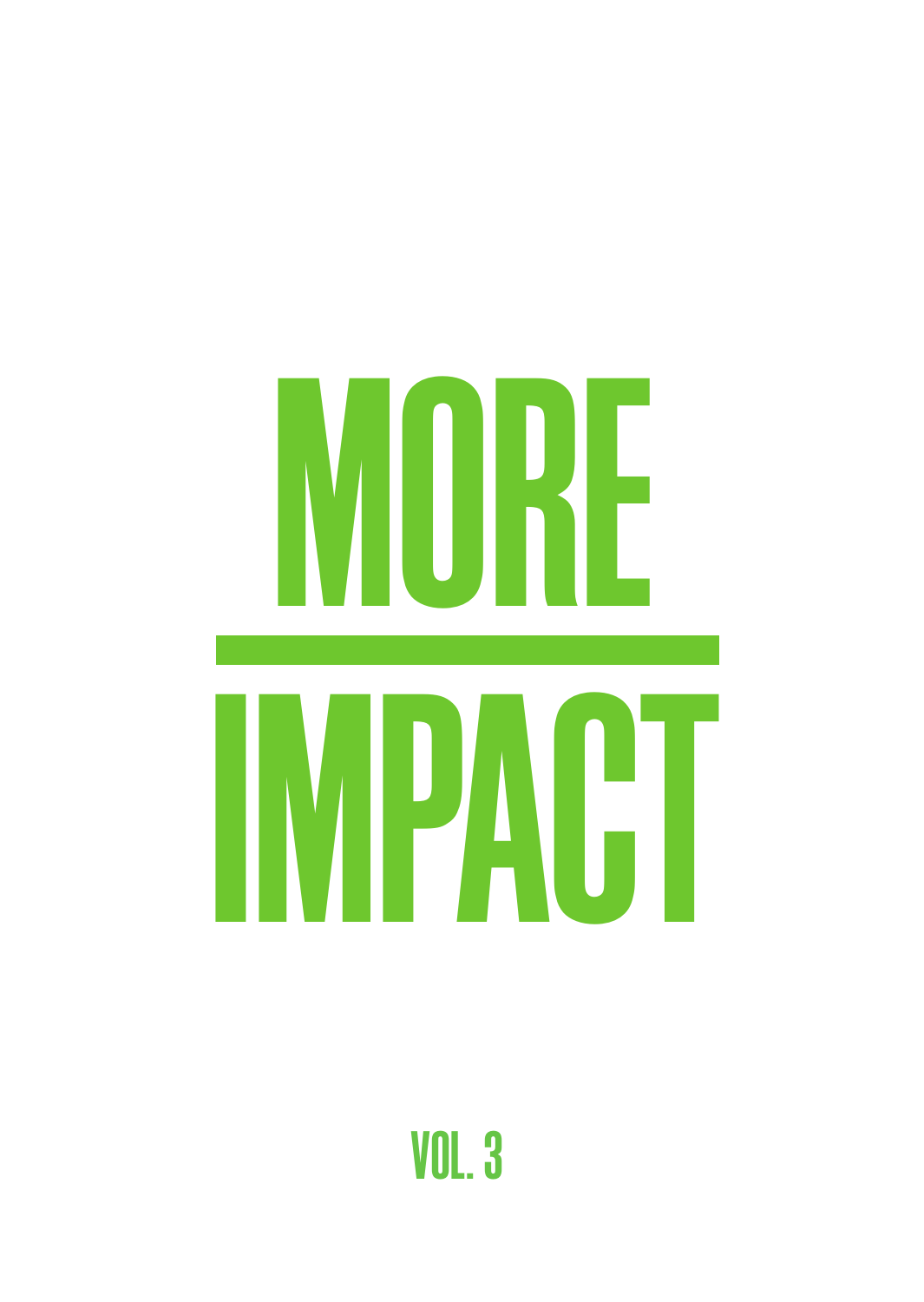

VOL. 3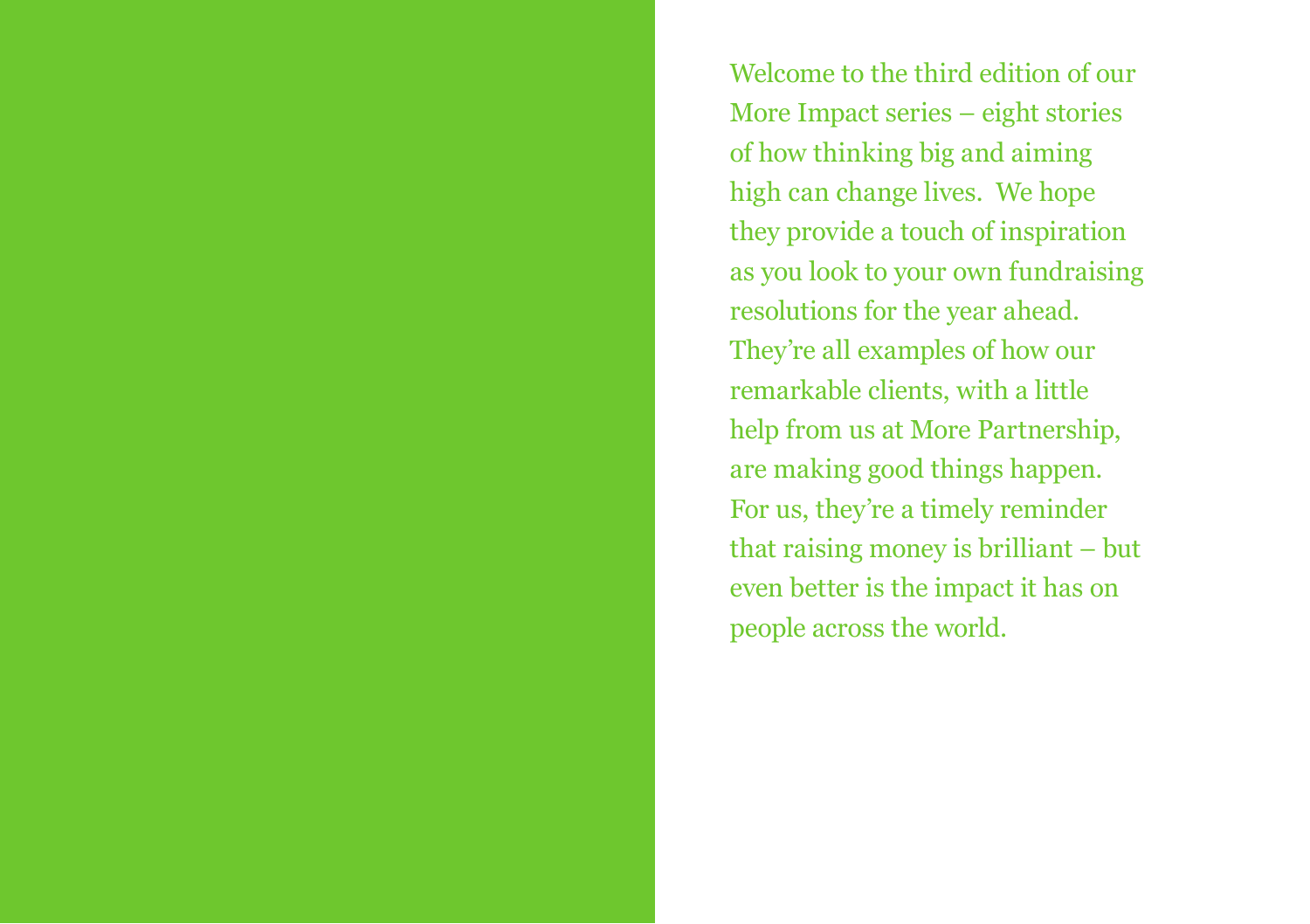Welcome to the third edition of our More Impact series – eight stories of how thinking big and aiming high can change lives. We hope they provide a touch of inspiration as you look to your own fundraising resolutions for the year ahead. They're all examples of how our remarkable clients, with a little help from us at More Partnership, are making good things happen. For us, they're a timely reminder that raising money is brilliant – but even better is the impact it has on people across the world.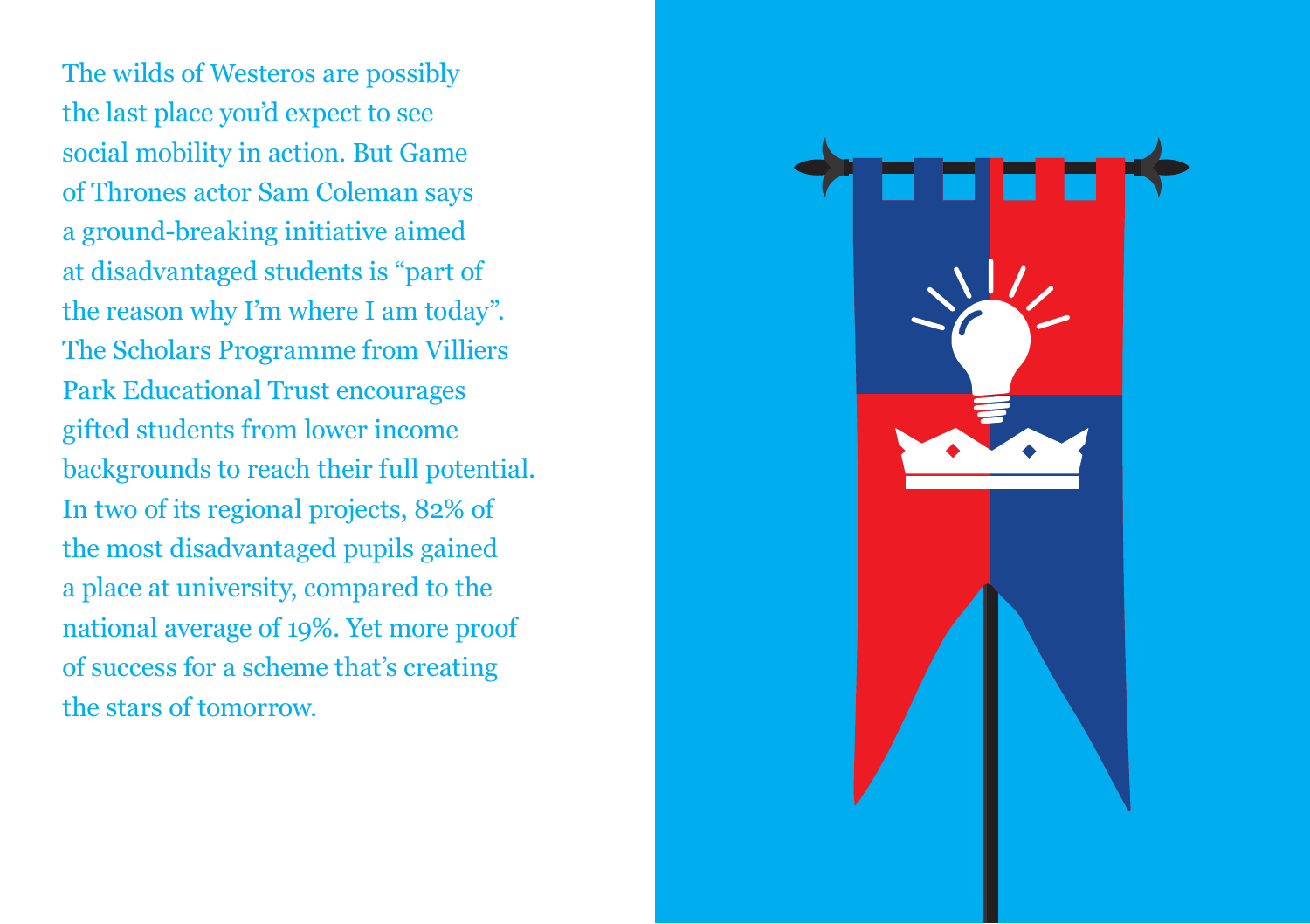The wilds of Westeros are possibly the last place you'd expect to see social mobility in action. But Game of Thrones actor Sam Coleman says a ground-breaking initiative aimed at disadvantaged students is "part of the reason why I'm where I am today". The Scholars Programme from Villiers Park Educational Trust encourages gifted students from lower income backgrounds to reach their full potential. In two of its regional projects, 82% of the most disadvantaged pupils gained a place at university, compared to the national average of 19%. Yet more proof of success for a scheme that's creating the stars of tomorrow.

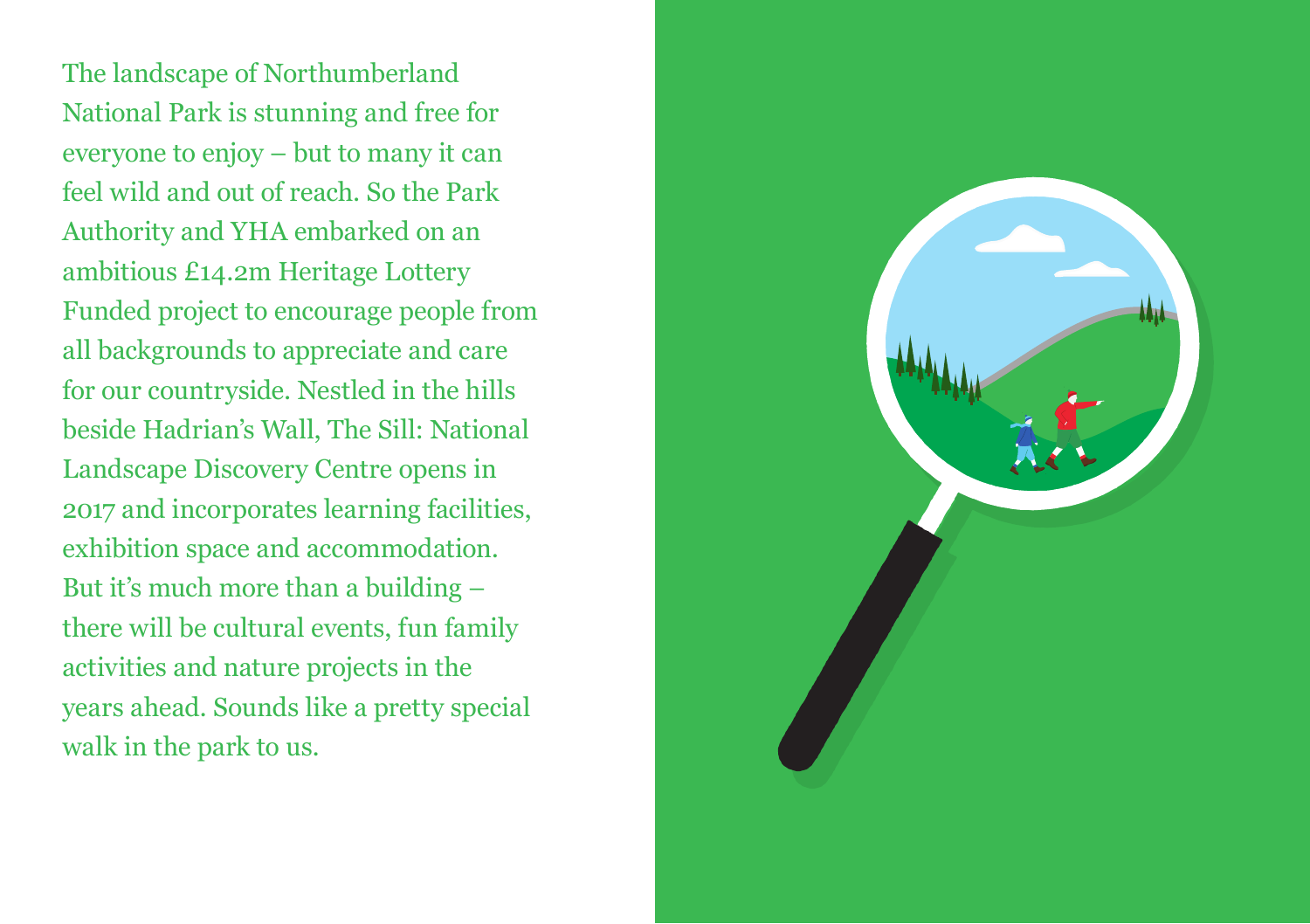The landscape of Northumberland National Park is stunning and free for everyone to enjoy – but to many it can feel wild and out of reach. So the Park Authority and YHA embarked on an ambitious £14.2m Heritage Lottery Funded project to encourage people from all backgrounds to appreciate and care for our countryside. Nestled in the hills beside Hadrian's Wall, The Sill: National Landscape Discovery Centre opens in 2017 and incorporates learning facilities, exhibition space and accommodation. But it's much more than a building – there will be cultural events, fun family activities and nature projects in the years ahead. Sounds like a pretty special walk in the park to us.

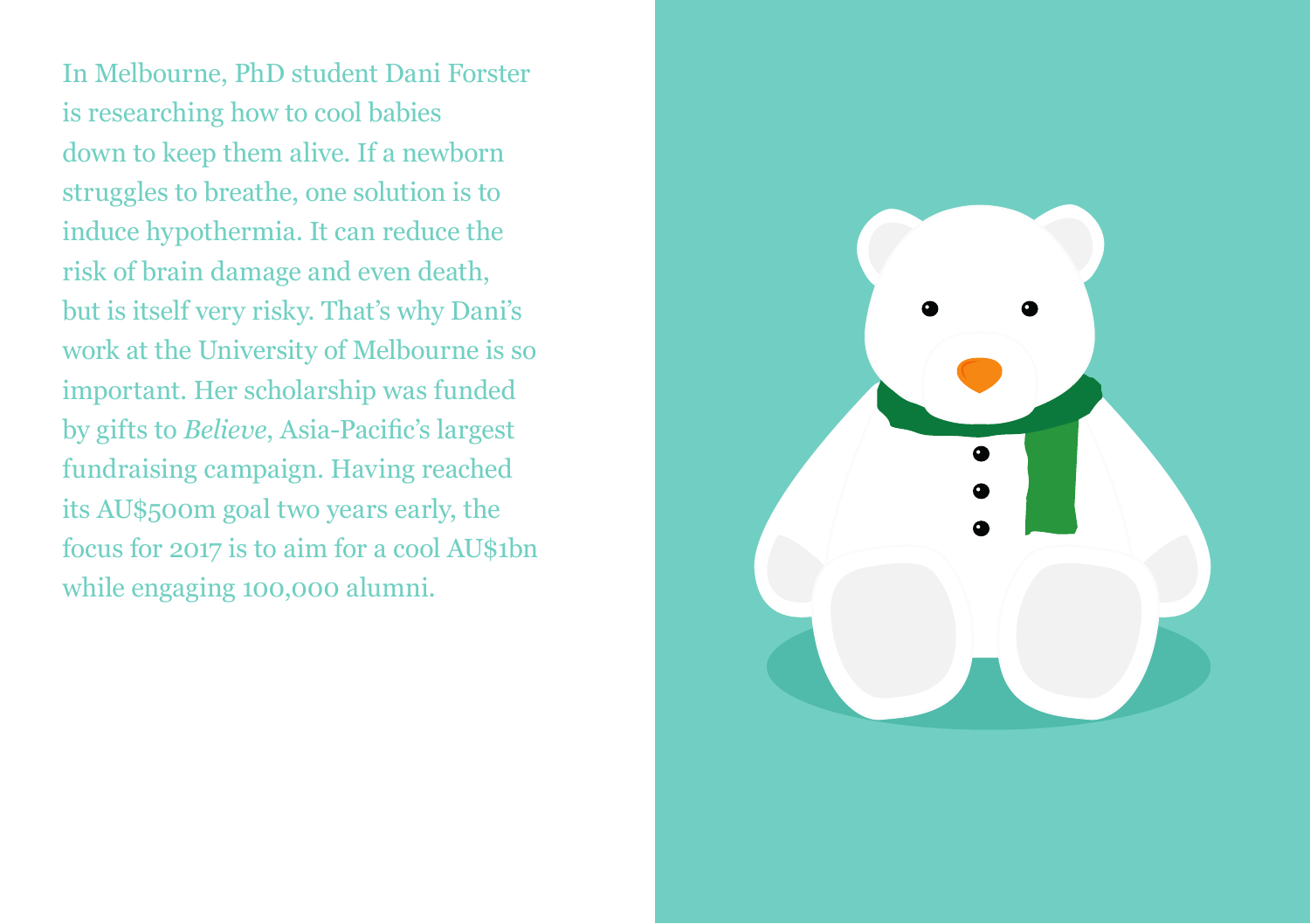In Melbourne, PhD student Dani Forster is researching how to cool babies down to keep them alive. If a newborn struggles to breathe, one solution is to induce hypothermia. It can reduce the risk of brain damage and even death, but is itself very risky. That's why Dani's work at the University of Melbourne is so important. Her scholarship was funded by gifts to *Believe*, Asia-Pacific's largest fundraising campaign. Having reached its AU\$500m goal two years early, the focus for 2017 is to aim for a cool AU\$1bn while engaging 100,000 alumni.

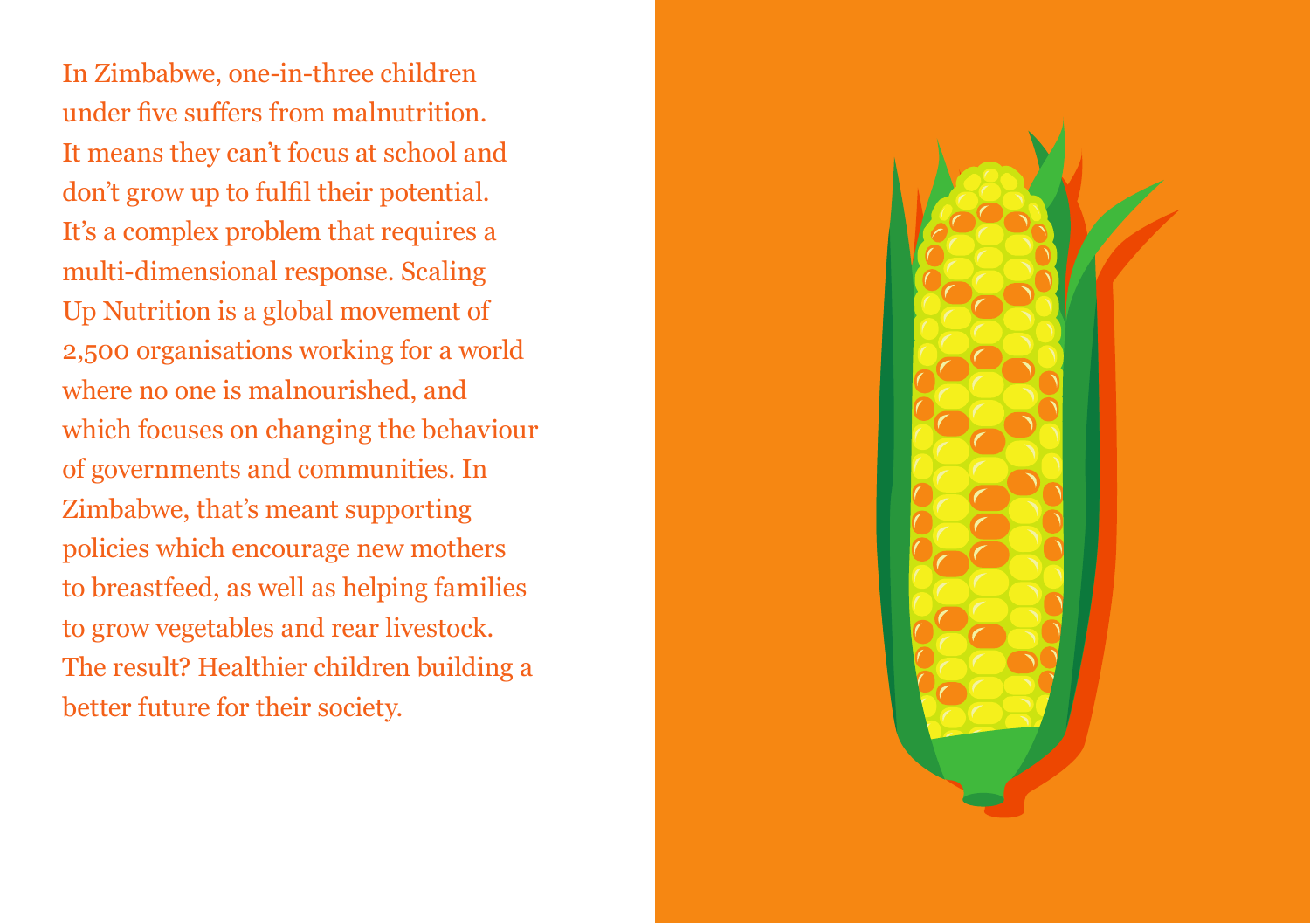In Zimbabwe, one-in-three children under five suffers from malnutrition. It means they can't focus at school and don't grow up to fulfil their potential. It's a complex problem that requires a multi-dimensional response. Scaling Up Nutrition is a global movement of 2,500 organisations working for a world where no one is malnourished, and which focuses on changing the behaviour of governments and communities. In Zimbabwe, that's meant supporting policies which encourage new mothers to breastfeed, as well as helping families to grow vegetables and rear livestock. The result? Healthier children building a better future for their society.

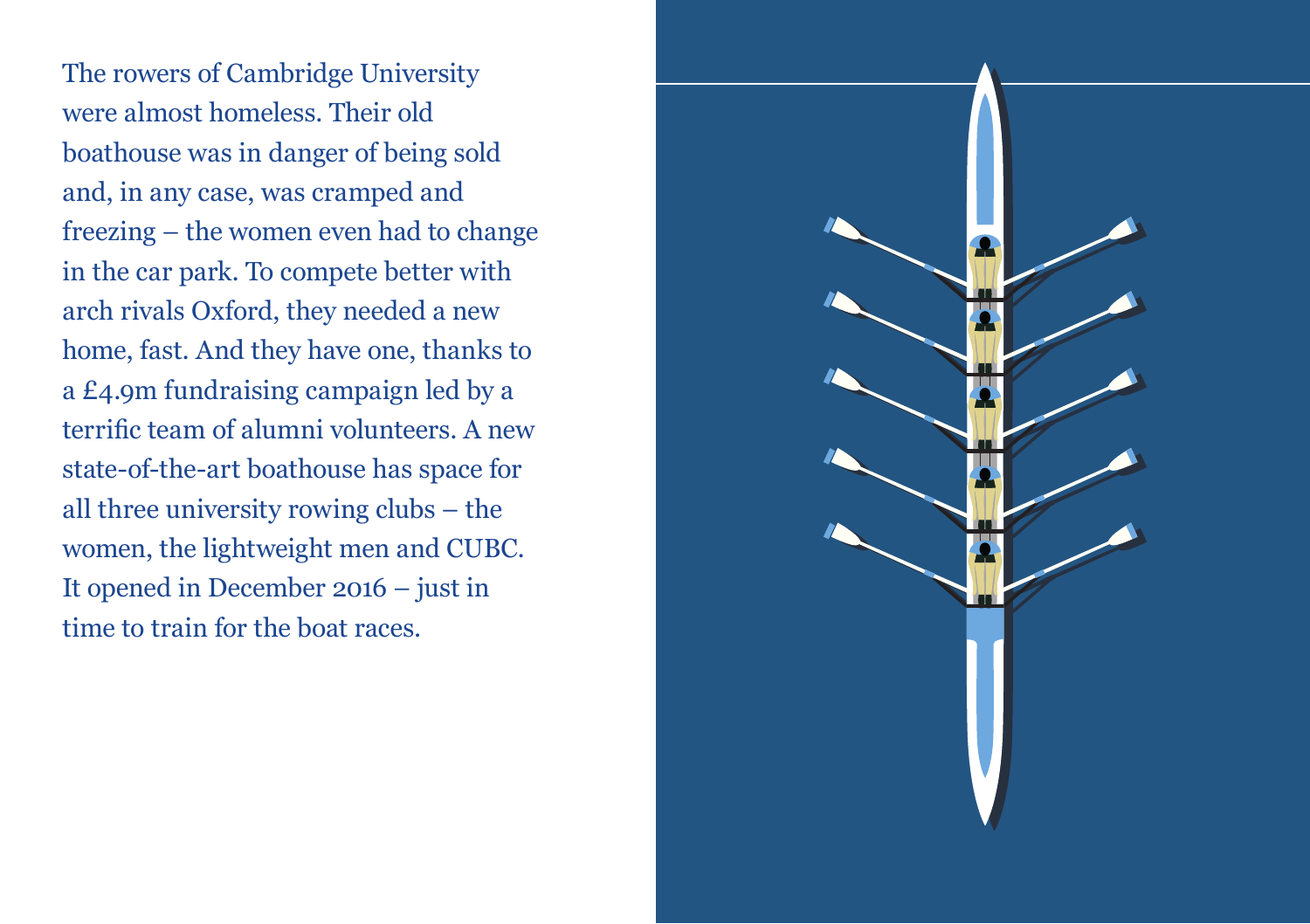The rowers of Cambridge University were almost homeless. Their old boathouse was in danger of being sold and, in any case, was cramped and freezing – the women even had to change in the car park. To compete better with arch rivals Oxford, they needed a new home, fast. And they have one, thanks to a £4.9m fundraising campaign led by a terrific team of alumni volunteers. A new state-of-the-art boathouse has space for all three university rowing clubs – the women, the lightweight men and CUBC. It opened in December 2016 – just in time to train for the boat races.

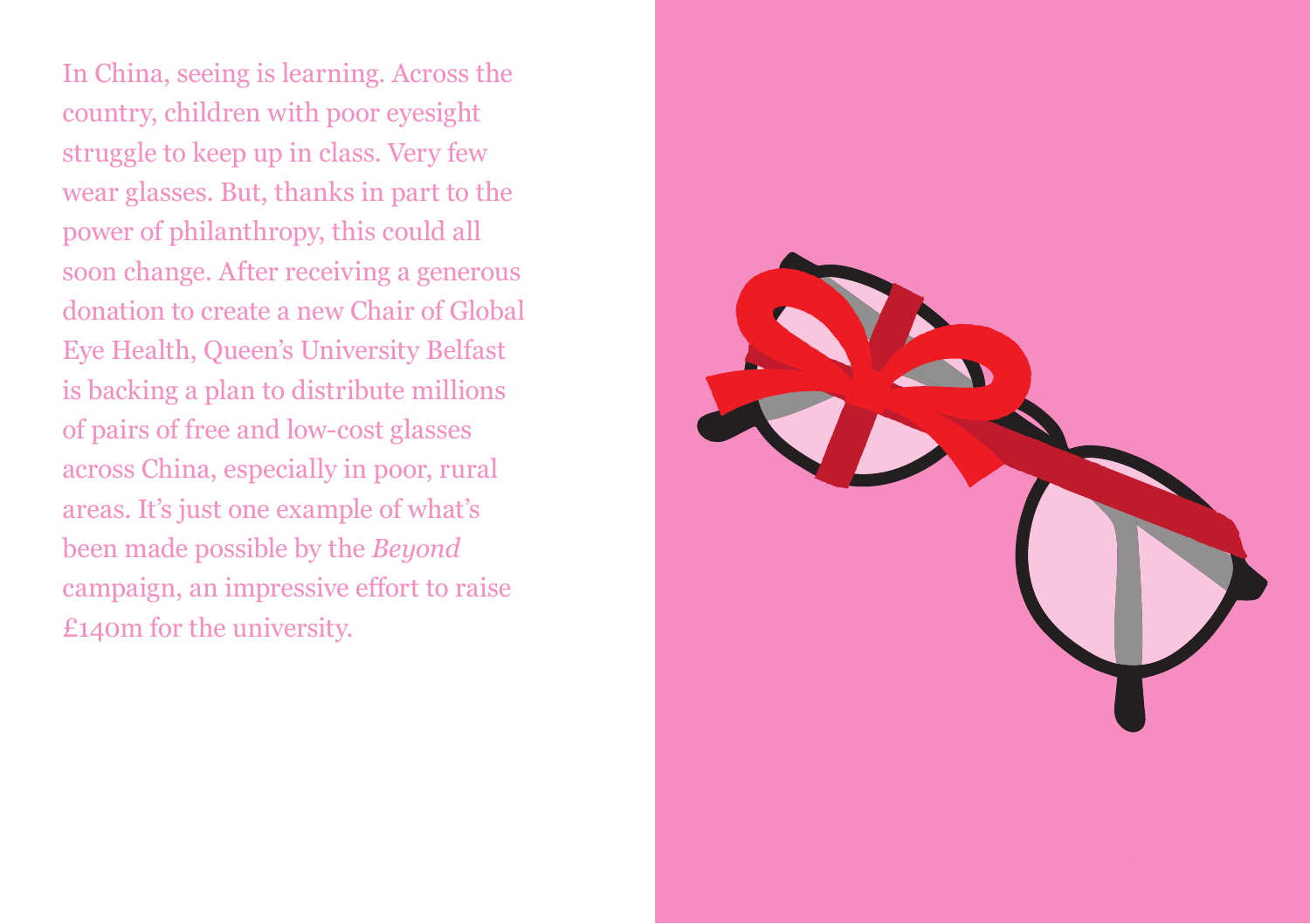In China, seeing is learning. Across the country, children with poor eyesight struggle to keep up in class. Very few wear glasses. But, thanks in part to the power of philanthropy, this could all soon change. After receiving a generous donation to create a new Chair of Global Eye Health, Queen's University Belfast is backing a plan to distribute millions of pairs of free and low-cost glasses across China, especially in poor, rural areas. It's just one example of what's been made possible by the *Beyond* campaign, an impressive effort to raise £140m for the university.

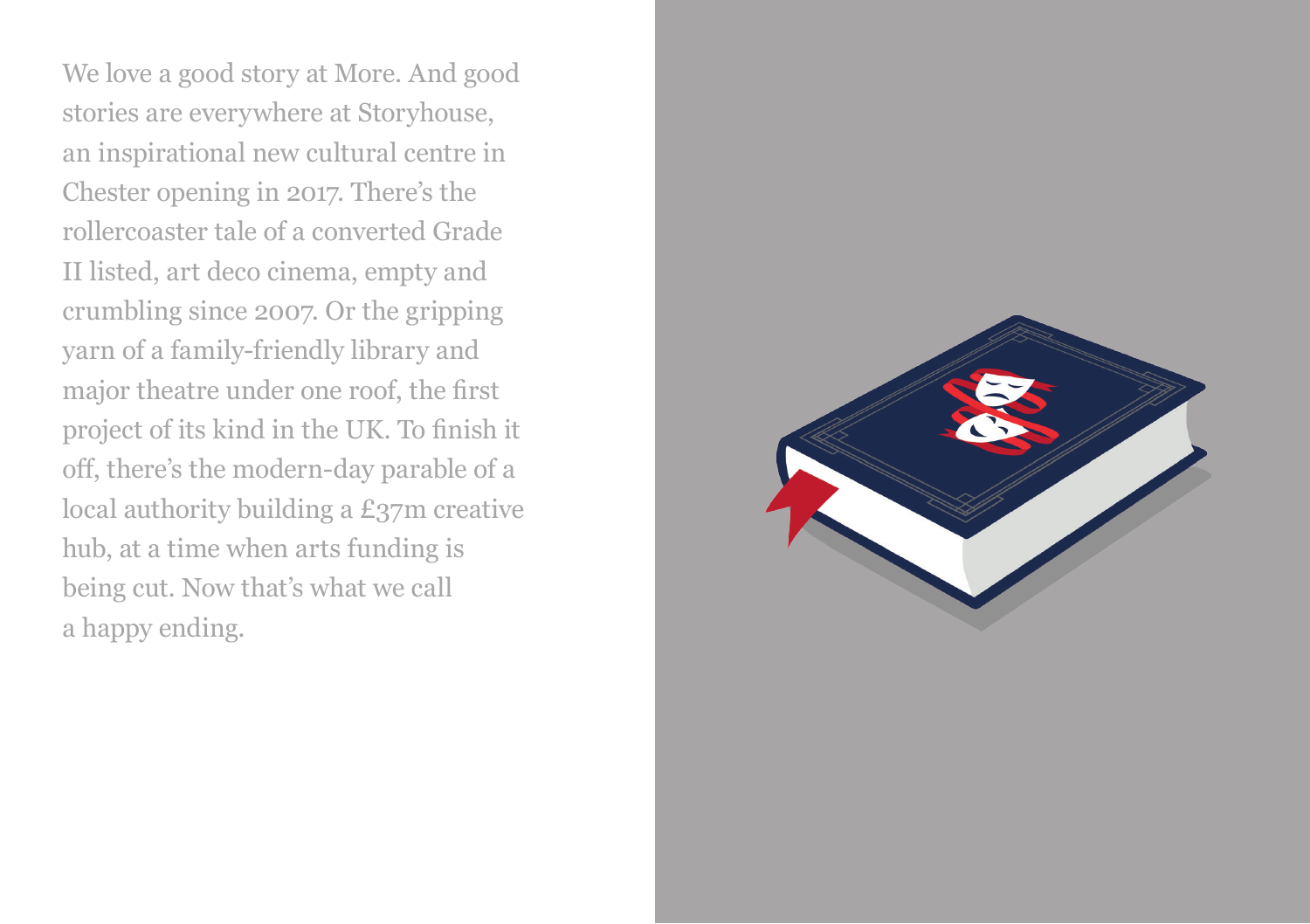We love a good story at More. And good stories are everywhere at Storyhouse, an inspirational new cultural centre in Chester opening in 2017. There's the rollercoaster tale of a converted Grade II listed, art deco cinema, empty and crumbling since 2007. Or the gripping yarn of a family-friendly library and major theatre under one roof, the first project of its kind in the UK. To finish it off, there's the modern-day parable of a local authority building a £37m creative hub, at a time when arts funding is being cut. Now that's what we call a happy ending.

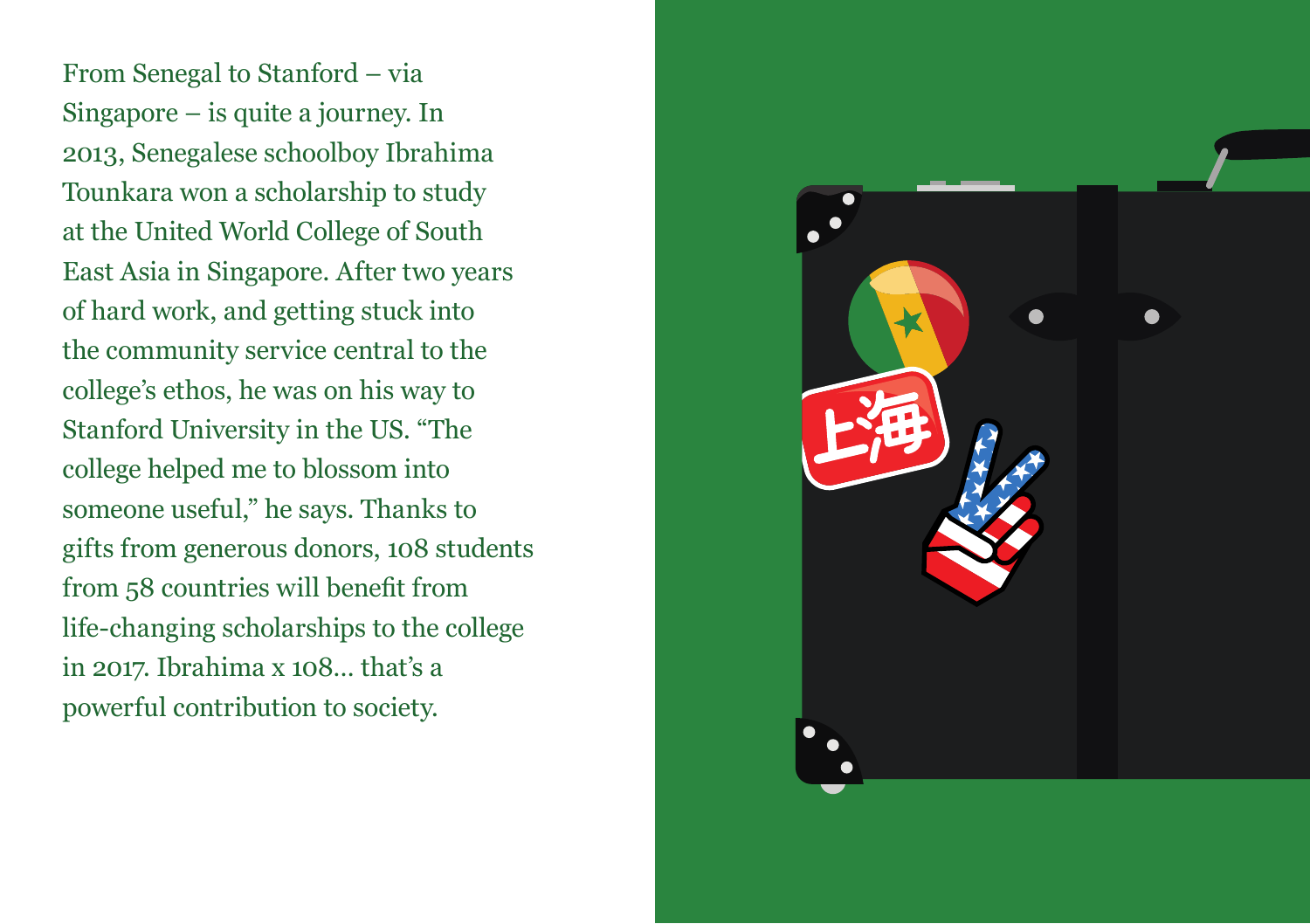From Senegal to Stanford – via Singapore – is quite a journey. In 2013, Senegalese schoolboy Ibrahima Tounkara won a scholarship to study at the United World College of South East Asia in Singapore. After two years of hard work, and getting stuck into the community service central to the college's ethos, he was on his way to Stanford University in the US. "The college helped me to blossom into someone useful," he says. Thanks to gifts from generous donors, 108 students from 58 countries will benefit from life-changing scholarships to the college in 2017. Ibrahima x 108… that's a powerful contribution to society.

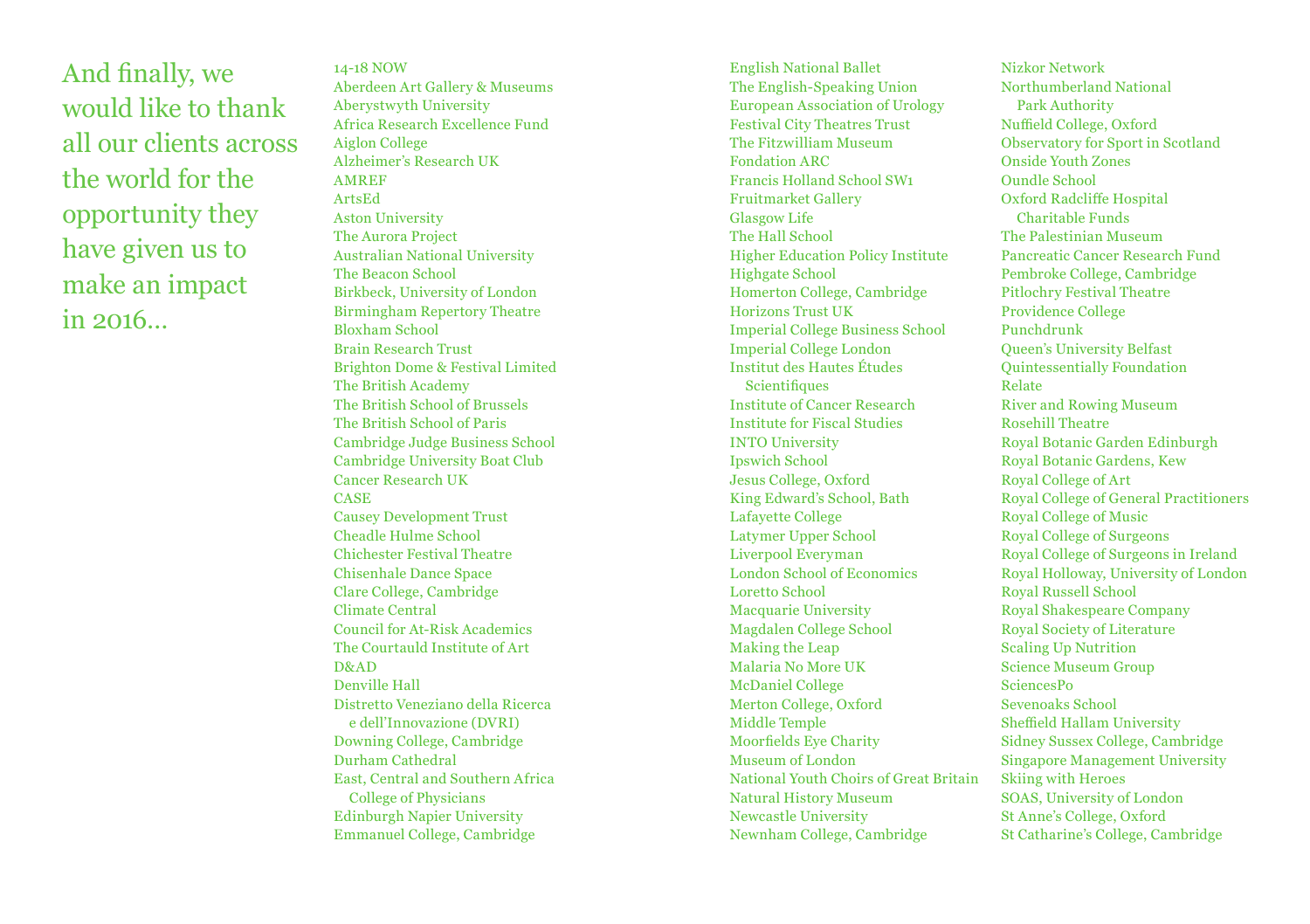And finally, we would like to thank all our clients across the world for the opportunity they have given us to make an impact  $in$  2016

14-18 NOW Aberdeen Art Gallery & Museums Aberystwyth University Africa Research Excellence Fund Aiglon College Alzheimer's Research UK AMREF ArtsEd Aston University The Aurora Project Australian National University The Beacon School Birkbeck, University of London Birmingham Repertory Theatre Bloxham School Brain Research Trust Brighton Dome & Festival Limited The British Academy The British School of Brussels The British School of Paris Cambridge Judge Business School Cambridge University Boat Club Cancer Research UK CASE Causey Development Trust Cheadle Hulme School Chichester Festival Theatre Chisenhale Dance Space Clare College, Cambridge Climate Central Council for At-Risk Academics The Courtauld Institute of Art D&AD Denville Hall Distretto Veneziano della Ricerca e dell'Innovazione (DVRI) Downing College, Cambridge Durham Cathedral East, Central and Southern Africa College of Physicians Edinburgh Napier University Emmanuel College, Cambridge

English National Ballet The English-Speaking Union European Association of Urology Festival City Theatres Trust The Fitzwilliam Museum Fondation ARC Francis Holland School SW1 Fruitmarket Gallery Glasgow Life The Hall School Higher Education Policy Institute Highgate School Homerton College, Cambridge Horizons Trust UK Imperial College Business School Imperial College London Institut des Hautes Études **Scientifiques** Institute of Cancer Research Institute for Fiscal Studies INTO University Ipswich School Jesus College, Oxford King Edward's School, Bath Lafayette College Latymer Upper School Liverpool Everyman London School of Economics Loretto School Macquarie University Magdalen College School Making the Leap Malaria No More UK McDaniel College Merton College, Oxford Middle Temple Moorfields Eye Charity Museum of London National Youth Choirs of Great Britain Natural History Museum Newcastle University Newnham College, Cambridge

Nizkor Network Northumberland National Park Authority Nuffield College, Oxford Observatory for Sport in Scotland Onside Youth Zones Oundle School Oxford Radcliffe Hospital Charitable Funds The Palestinian Museum Pancreatic Cancer Research Fund Pembroke College, Cambridge Pitlochry Festival Theatre Providence College Punchdrunk Queen's University Belfast Quintessentially Foundation Relate River and Rowing Museum Rosehill Theatre Royal Botanic Garden Edinburgh Royal Botanic Gardens, Kew Royal College of Art Royal College of General Practitioners Royal College of Music Royal College of Surgeons Royal College of Surgeons in Ireland Royal Holloway, University of London Royal Russell School Royal Shakespeare Company Royal Society of Literature Scaling Up Nutrition Science Museum Group SciencesPo Sevenoaks School Sheffield Hallam University Sidney Sussex College, Cambridge Singapore Management University Skiing with Heroes SOAS, University of London St Anne's College, Oxford St Catharine's College, Cambridge